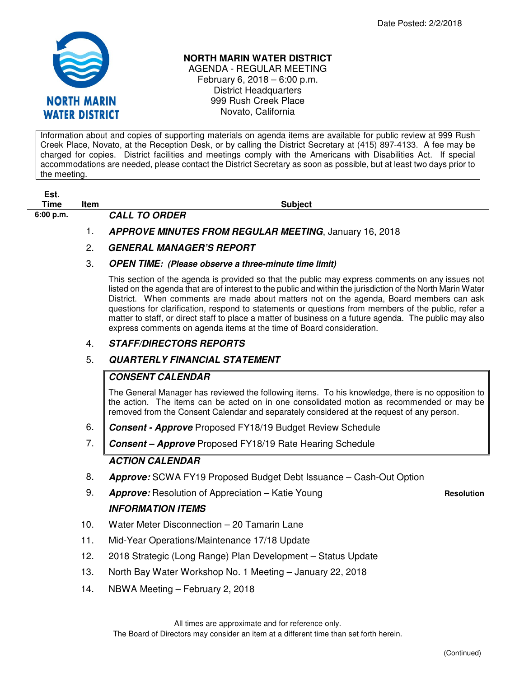

#### **NORTH MARIN WATER DISTRICT**

AGENDA - REGULAR MEETING February 6, 2018 – 6:00 p.m. District Headquarters 999 Rush Creek Place Novato, California

Information about and copies of supporting materials on agenda items are available for public review at 999 Rush Creek Place, Novato, at the Reception Desk, or by calling the District Secretary at (415) 897-4133. A fee may be charged for copies. District facilities and meetings comply with the Americans with Disabilities Act. If special accommodations are needed, please contact the District Secretary as soon as possible, but at least two days prior to the meeting.

| -SI. |  |
|------|--|
| Time |  |

**6:00 p.m. CALL TO ORDER** 

**The Item Subject Time Item Subject** 

1. **APPROVE MINUTES FROM REGULAR MEETING**, January 16, 2018

# 2. **GENERAL MANAGER'S REPORT**

#### 3. **OPEN TIME: (Please observe a three-minute time limit)**

This section of the agenda is provided so that the public may express comments on any issues not listed on the agenda that are of interest to the public and within the jurisdiction of the North Marin Water District. When comments are made about matters not on the agenda, Board members can ask questions for clarification, respond to statements or questions from members of the public, refer a matter to staff, or direct staff to place a matter of business on a future agenda. The public may also express comments on agenda items at the time of Board consideration.

### 4. **STAFF/DIRECTORS REPORTS**

# 5. **QUARTERLY FINANCIAL STATEMENT**

# **CONSENT CALENDAR**

The General Manager has reviewed the following items. To his knowledge, there is no opposition to the action. The items can be acted on in one consolidated motion as recommended or may be removed from the Consent Calendar and separately considered at the request of any person.

- 6. **Consent Approve** Proposed FY18/19 Budget Review Schedule
- 7. **Consent Approve** Proposed FY18/19 Rate Hearing Schedule

# **ACTION CALENDAR**

- 8. **Approve:** SCWA FY19 Proposed Budget Debt Issuance Cash-Out Option
- 9. **Approve:** Resolution of Appreciation Katie Young **Resolution** Resolution **INFORMATION ITEMS**

- 10. Water Meter Disconnection 20 Tamarin Lane
- 11. Mid-Year Operations/Maintenance 17/18 Update
- 12. 2018 Strategic (Long Range) Plan Development Status Update
- 13. North Bay Water Workshop No. 1 Meeting January 22, 2018
- 14. NBWA Meeting February 2, 2018